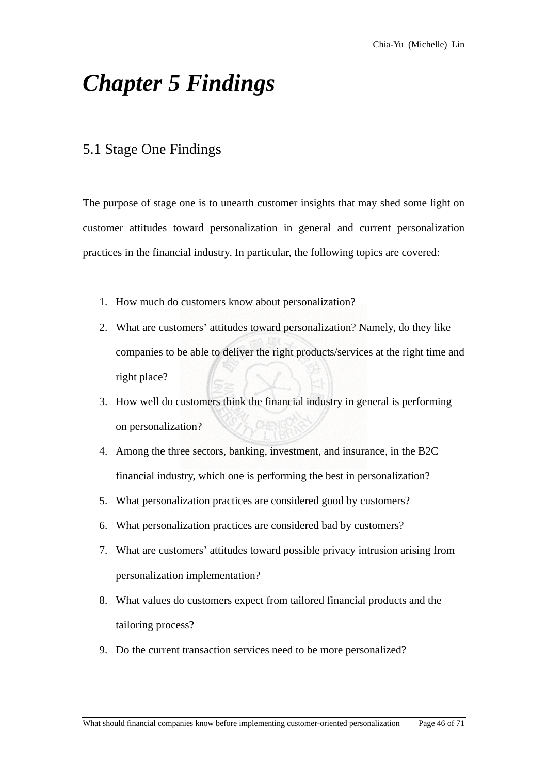## *Chapter 5 Findings*

## 5.1 Stage One Findings

The purpose of stage one is to unearth customer insights that may shed some light on ustomer attitudes toward personalization in general and current personalization c practices in the financial industry. In particular, the following topics are covered:

- 1. How much do customers know about personalization?
- 2. What are customers' attitudes toward personalization? Namely, do they like companies to be able to deliver the right products/services at the right time and right place?
- 3. How well do customers think the financial industry in general is performing on personalization?
- 4. Among the three sectors, banking, investment, and insurance, in the B2C financial industry, which one is performing the best in personalization?
- 5. What personalization practices are considered good by customers?
- 6. What personalization practices are considered bad by customers?
- 7. What are customers' attitudes toward possible privacy intrusion arising from personalization implementation?
- 8. What values do customers expect from tailored financial products and the tailoring process?
- 9. Do the current transaction services need to be more personalized?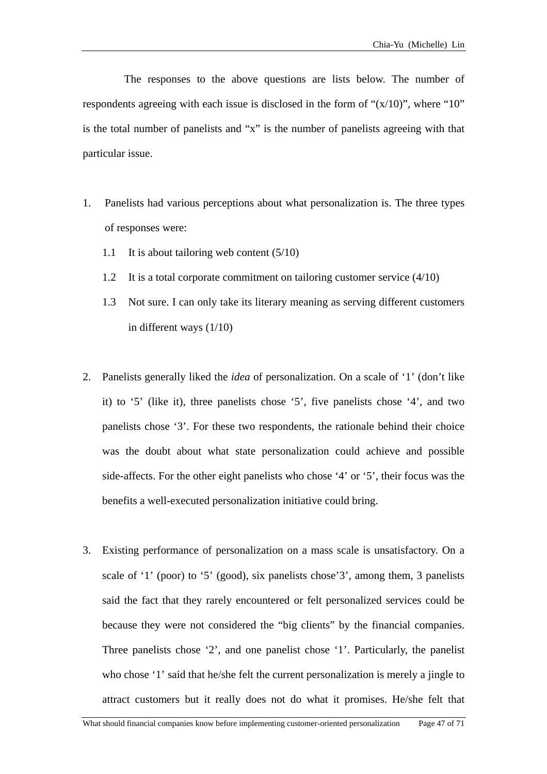The responses to the above questions are lists below. The number of respondents agreeing with each issue is disclosed in the form of " $(x/10)$ ", where "10" is the total number of panelists and " $x$ " is the number of panelists agreeing with that particular issue.

- 1. Panelists had various perceptions about what personalization is. The three types of responses were:
	- 1.1 It is about tailoring web content (5/10)
	- 1.2 It is a total corporate commitment on tailoring customer service (4/10)
	- 1.3 Not sure. I can only take its literary meaning as serving different customers in different ways (1/10)
- 2. Panelists generally liked the *idea* of personalization. On a scale of '1' (don't like it) to '5' (like it), three panelists chose '5', five panelists chose '4', and two panelists chose '3'. For these two respondents, the rationale behind their choice was the doubt about what state personalization could achieve and possible side-affects. For the other eight panelists who chose '4' or '5', their focus was the benefits a well-executed personalization initiative could bring.
- 3. Existing performance of personalization on a mass scale is unsatisfactory. On a scale of '1' (poor) to '5' (good), six panelists chose'3', among them, 3 panelists said the fact that they rarely encountered or felt personalized services could be because they were not considered the "big clients" by the financial companies. Three panelists chose '2', and one panelist chose '1'. Particularly, the panelist who chose '1' said that he/she felt the current personalization is merely a jingle to attract customers but it really does not do what it promises. He/she felt that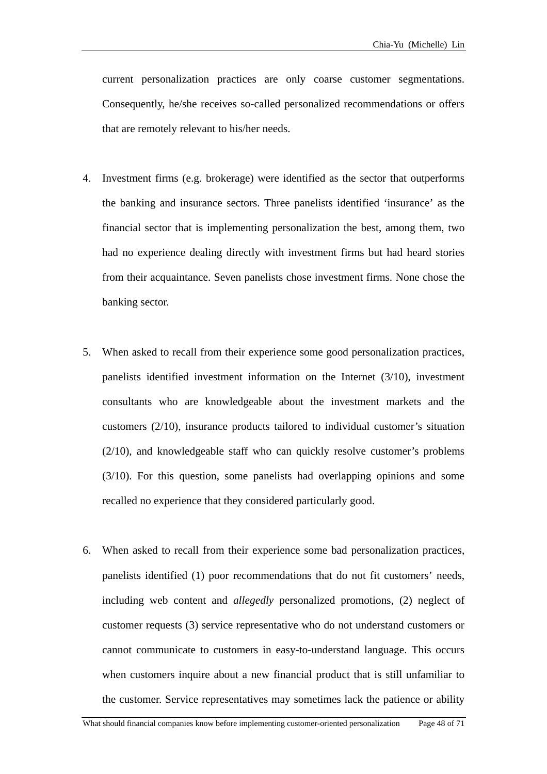curre nt personalization practices are only coarse customer segmentations. Consequently, he/she receives so-called personalized recommendations or offers that are remotely relevant to his/her needs.

- 4. Investment firms (e.g. brokerage) were identified as the sector that outperforms financial sector that is implementing personalization the best, among them, two had no experience dealing directly with investment firms but had heard stories from their acquaintance. Seven panelists chose investment firms. None chose the the banking and insurance sectors. Three panelists identified 'insurance' as the banking sector.
- 5. When asked to recall from their experience some good personalization practices, panelists identified investment information on the Internet (3/10), investment consultants who are knowledgeable about the investment markets and the customers (2/10), insurance products tailored to individual customer's situation (2/10), and knowledgeable staff who can quickly resolve customer's problems (3/10). For this question, some panelists had overlapping opinions and some recalled no experience that they considered particularly good.
- 6. When asked to recall from their experience some bad personalization practices, panelists identified (1) poor recommendations that do not fit customers' needs, including web content and *allegedly* personalized promotions, (2) neglect of customer requests (3) service representative who do not understand customers or cannot communicate to customers in easy-to-understand language. This occurs when customers inquire about a new financial product that is still unfamiliar to the customer. Service representatives may sometimes lack the patience or ability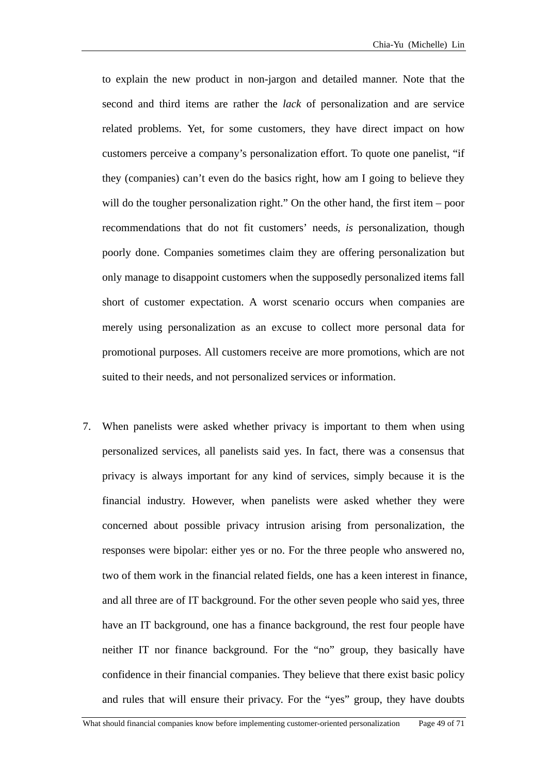to explain the new product in non-jargon and detailed manner. Note that the second and third items are rather the *lack* of personalization and are service related problems. Yet, for some customers, they have direct impact on how customers perceive a company's personalization effort. To quote one panelist, "if short of customer expectation. A worst scenario occurs when companies are merely using personalization as an excuse to collect more personal data for they (companies) can't even do the basics right, how am I going to believe they will do the tougher personalization right." On the other hand, the first item – poor recommendations that do not fit customers' needs, *is* personalization, though poorly done. Companies sometimes claim they are offering personalization but only manage to disappoint customers when the supposedly personalized items fall promotional purposes. All customers receive are more promotions, which are not suited to their needs, and not personalized services or information.

7. When panelists were asked whether privacy is important to them when using financial industry. However, when panelists were asked whether they were concerned about possible privacy intrusion arising from personalization, the personalized services, all panelists said yes. In fact, there was a consensus that privacy is always important for any kind of services, simply because it is the responses were bipolar: either yes or no. For the three people who answered no, two of them work in the financial related fields, one has a keen interest in finance, and all three are of IT background. For the other seven people who said yes, three have an IT background, one has a finance background, the rest four people have neither IT nor finance background. For the "no" group, they basically have confidence in their financial companies. They believe that there exist basic policy and rules that will ensure their privacy. For the "yes" group, they have doubts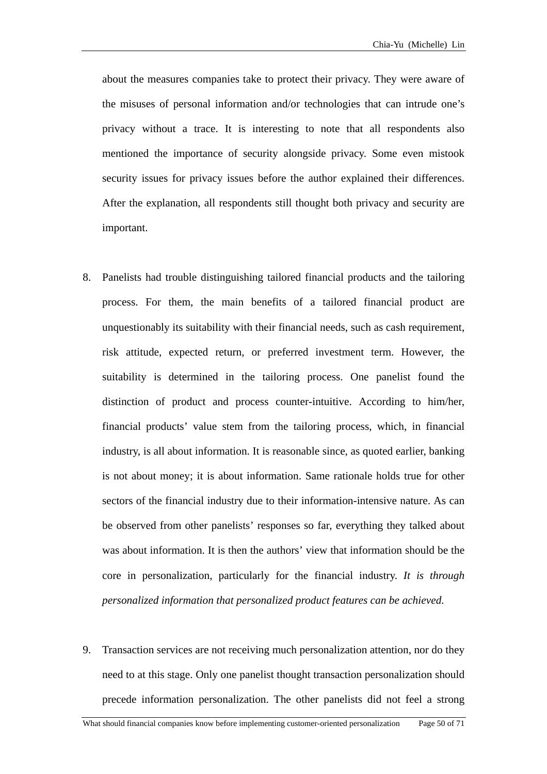about the measures companies take to protect their privacy. They were aware of the misuses of personal information and/or technologies that can intrude one's privacy without a trace. It is interesting to note that all respondents also mentioned the importance of security alongside privacy. Some even mistook security issues for privacy issues before the author explained their differences. After the explanation, all respondents still thought both privacy and security are important.

- Panelists had trouble distinguishing tailored financial products and the tailoring 8. process. For them, the main benefits of a tailored financial product are unquestionably its suitability with their financial needs, such as cash requirement, risk attitude, expected return, or preferred investment term. However, the suitability is determined in the tailoring process. One panelist found the distinction of product and process counter-intuitive. According to him/her, financial products' value stem from the tailoring process, which, in financial industry, is all about information. It is reasonable since, as quoted earlier, banking is not about money; it is about information. Same rationale holds true for other sectors of the financial industry due to their information-intensive nature. As can be observed from other panelists' responses so far, everything they talked about was about information. It is then the authors' view that information should be the core in personalization, particularly for the financial industry. *It is through personalized information that personalized product features can be achieved.*
- 9. Transaction services are not receiving much personalization attention, nor do they need to at this stage. Only one panelist thought transaction personalization should precede information personalization. The other panelists did not feel a strong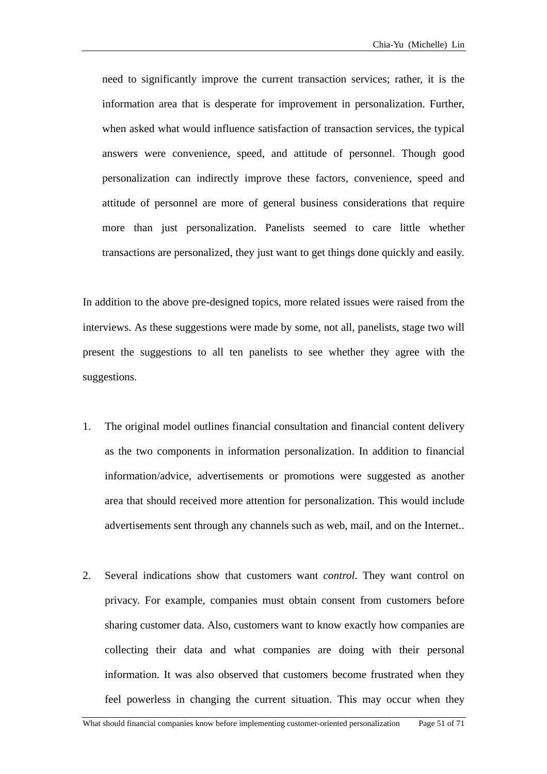need to significantly improve the current transaction services; rather, it is the information area that is desperate for improvement in personalization. Further, when asked what would influence satisfaction of transaction services, the typical answers were convenience, speed, and attitude of personnel. Though good personalization can indirectly improve these factors, convenience, speed and attitude of personnel are more of general business considerations that require more than just personalization. Panelists seemed to care little whether transactions are personalized, they just want to get things done quickly and easily.

In a ddition to the above pre-designed topics, more related issues were raised from the inter views. As these suggestions were made by some, not all, panelists, stage two will pres ent the suggestions to all ten panelists to see whether they agree with the sugg estions.

- 1. The original model outlines financial consultation and financial content delivery as the two components in information personalization. In addition to financial information/advice, advertisements or promotions were suggested as another area that should received more attention for personalization. This would include advertisements sent through any channels such as web, mail, and on the Internet..
- 2. privacy. For example, companies must obtain consent from customers before sharing customer data. Also, customers want to know exactly how companies are Several indications show that customers want *control*. They want control on collecting their data and what companies are doing with their personal information. It was also observed that customers become frustrated when they feel powerless in changing the current situation. This may occur when they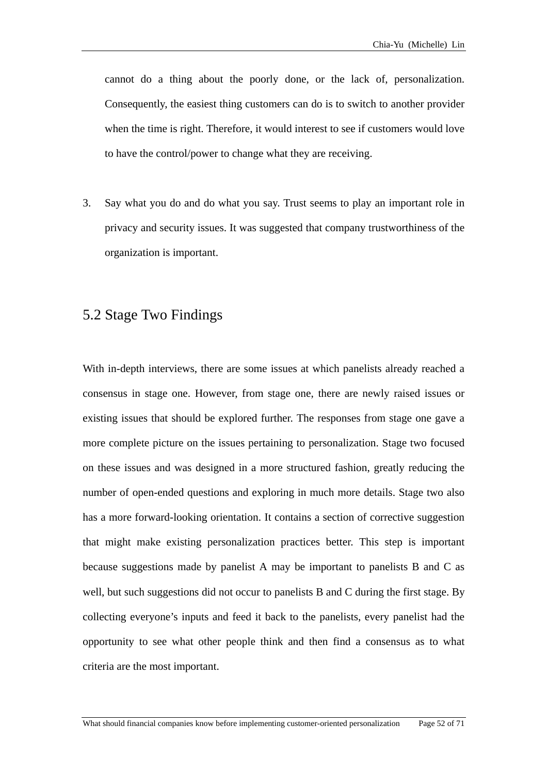cannot do a thing about the poorly done, or the lack of, personalization. Consequently, the easiest thing customers can do is to switch to another provider when the time is right. Therefore, it would interest to see if customers would love to have the control/power to change what they are receiving.

Say what you do and do what you say. Trust seems to play an important role in privacy and security issues. It was suggested that company trustworthiness of the organization is important. 3.

## 5.2 Stage Two Findings

With in-depth interviews, there are some issues at which panelists already reached a consensus in stage one. However, from stage one, there are newly raised issues or existing issues that should be explored further. The responses from stage one gave a more complete picture on the issues pertaining to personalization. Stage two focused on these issues and was designed in a more structured fashion, greatly reducing the number of open-ended questions and exploring in much more details. Stage two also has a more forward-looking orientation. It contains a section of corrective suggestion that might make existing personalization practices better. This step is important because suggestions made by panelist A may be important to panelists B and C as well, but such suggestions did not occur to panelists B and C during the first stage. By collecting everyone's inputs and feed it back to the panelists, every panelist had the opportunity to see what other people think and then find a consensus as to what criteria are the most important.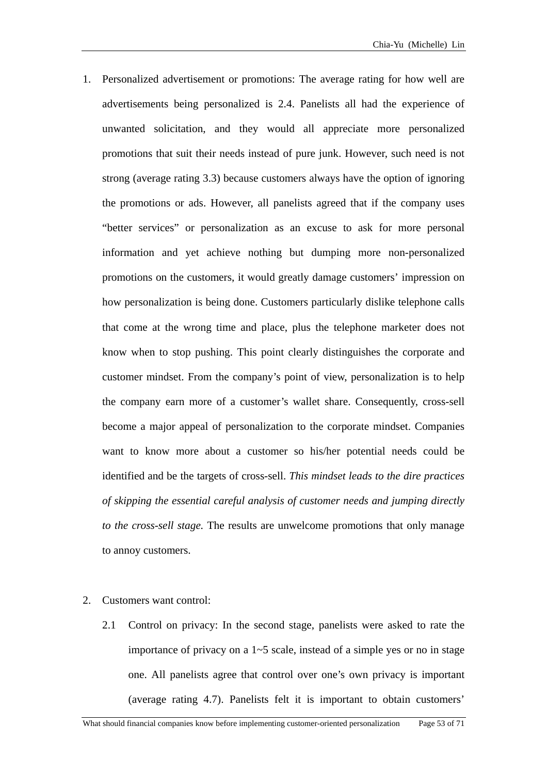- 1. Personalized advertisement or promotions: The average rating for how well are promotions that suit their needs instead of pure junk. However, such need is not strong (average rating 3.3) because customers always have the option of ignoring information and yet achieve nothing but dumping more non-personalized promotions on the customers, it would greatly damage customers' impression on how personalization is being done. Customers particularly dislike telephone calls that come at the wrong time and place, plus the telephone marketer does not know when to stop pushing. This point clearly distinguishes the corporate and customer mindset. From the company's point of view, personalization is to help the company earn more of a customer's wallet share. Consequently, cross-sell become a major appeal of personalization to the corporate mindset. Companies want to know more about a customer so his/her potential needs could be identified and be the targets of cross-sell. *This mindset leads to the dire practices of skipping the essential careful analysis of customer needs and jumping directly to the cross-sell stage.* The results are unwelcome promotions that only manage to annoy customers. advertisements being personalized is 2.4. Panelists all had the experience of unwanted solicitation, and they would all appreciate more personalized the promotions or ads. However, all panelists agreed that if the company uses "better services" or personalization as an excuse to ask for more personal
- 2. Customers want control:
	- 2.1 Control on privacy: In the second stage, panelists were asked to rate the importance of privacy on a  $1-5$  scale, instead of a simple yes or no in stage one. All panelists agree that control over one's own privacy is important (average rating 4.7). Panelists felt it is important to obtain customers'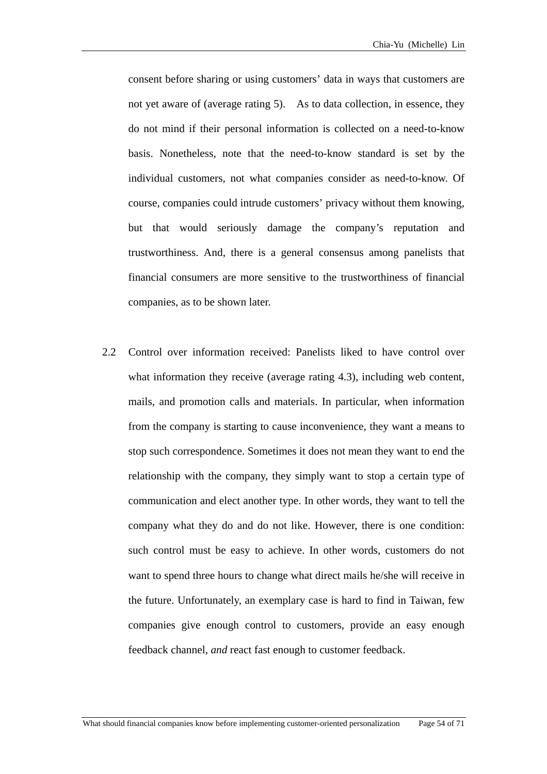consent before sharing or using customers' data in ways that customers are not yet aware of (average rating 5). As to data collection, in essence, they do not mind if their personal information is collected on a need-to-know basis. Nonetheless, note that the need-to-know standard is set by the individual customers, not what companies consider as need-to-know. Of course, companies could intrude customers' privacy without them knowing, but that would seriously damage the company's reputation and trustworthiness. And, there is a general consensus among panelists that financial consumers are more sensitive to the trustworthiness of financial companies, as to be shown later.

2.2 Control over information received: Panelists liked to have control over what information they receive (average rating 4.3), including web content, mails, and promotion calls and materials. In particular, when information from the company is starting to cause inconvenience, they want a means to stop such correspondence. Sometimes it does not mean they want to end the relationship with the company, they simply want to stop a certain type of communication and elect another type. In other words, they want to tell the company what they do and do not like. However, there is one condition: such control must be easy to achieve. In other words, customers do not want to spend three hours to change what direct mails he/she will receive in the future. Unfortunately, an exemplary case is hard to find in Taiwan, few companies give enough control to customers, provide an easy enough feedback channel, *and* react fast enough to customer feedback.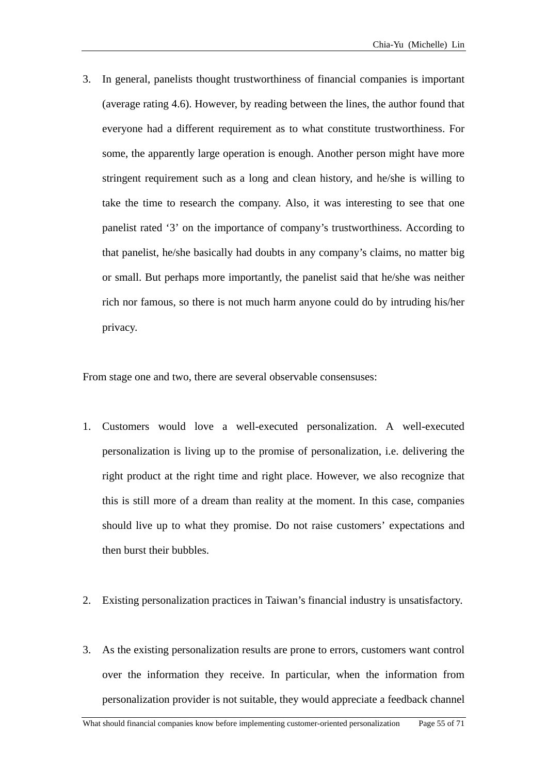3. In ge neral, panelists thought trustworthiness of financial companies is important (avera ge rating 4.6). However, by reading between the lines, the author found that every one had a different requirement as to what constitute trustworthiness. For some , the apparently large operation is enough. Another person might have more string ent requirement such as a long and clean history, and he/she is willing to take the time to research the company. Also, it was interesting to see that one panel ist rated '3' on the importance of company's trustworthiness. According to that p anelist, he/she basically had doubts in any company's claims, no matter big or sm all. But perhaps more importantly, the panelist said that he/she was neither rich nor famous, so there is not much harm anyone could do by intruding his/her privacy.

From stag e one and two, there are several observable consensuses:

- 1. Custo mers would love a well-executed personalization. A well-executed perso nalization is living up to the promise of personalization, i.e. delivering the right product at the right time and right place. However, we also recognize that this i s still more of a dream than reality at the moment. In this case, companies shoul d live up to what they promise. Do not raise customers' expectations and then b urst their bubbles.
- 2. Existi ng personalization practices in Taiwan's financial industry is unsatisfactory.
- 3. As the existing personalization results are prone to errors, customers want control over the information they receive. In particular, when the information from personalization provider is not suitable, they would appreciate a feedback channel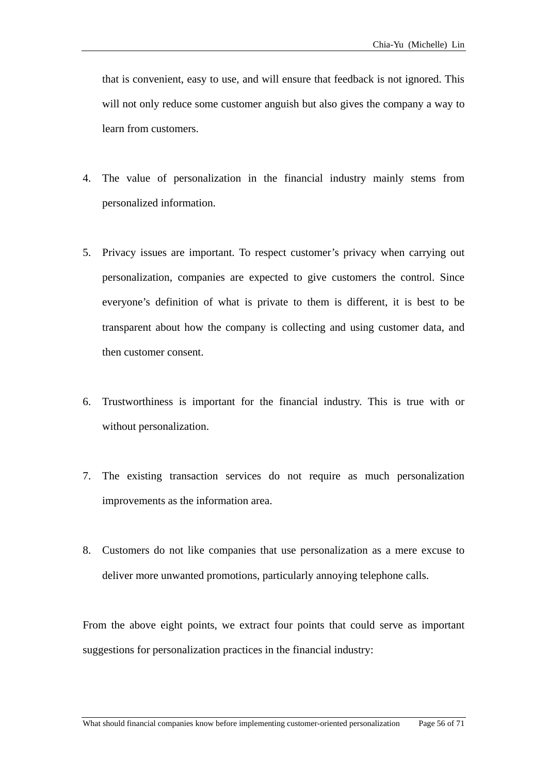that is convenient, easy to use, and will ensure that feedback is not ignored. This will not only reduce some customer anguish but also gives the company a way to learn from customers.

- The value of personalization in the financial industry mainly stems from 4. personalized information.
- 5. Privacy issues are important. To respect customer's privacy when carrying out personalization, companies are expected to give customers the control. Since everyone's definition of what is private to them is different, it is best to be transpare nt about how the company is collecting and using customer data, and then customer consent.
- . Trustworthiness is important for the financial industry. This is true with or 6 without personalization.
- 7. The existing transaction services do not require as much personalization improvements as the information area.
- 8. Customers do not like companies that use personalization as a mere excuse to deliver more unwanted promotions, particularly annoying telephone calls.

From the above eight points, we extract four points that could serve as important suggestions for personalization practices in the financial industry: